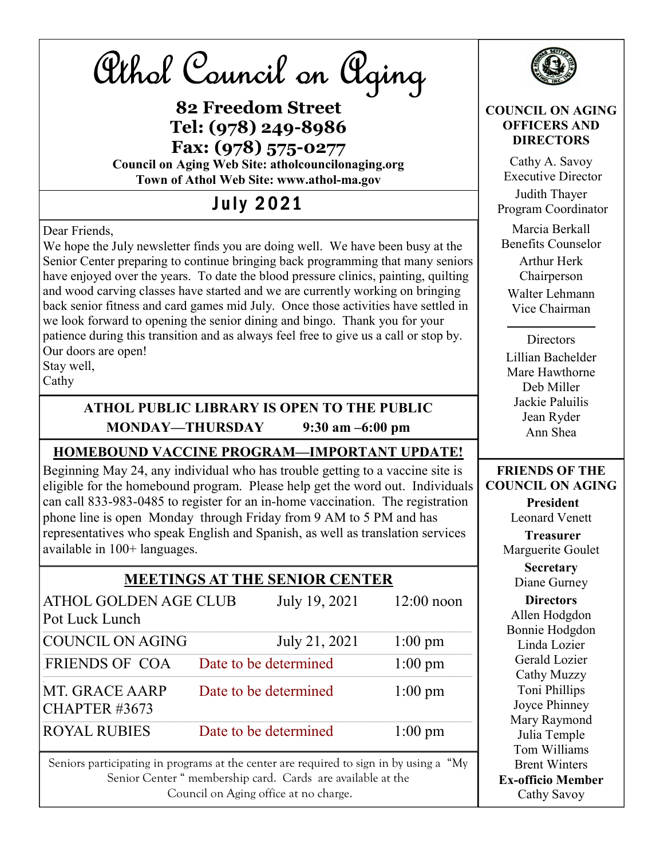| Athol Council on Aging<br><b>82 Freedom Street</b><br>Tel: (978) 249-8986<br>Fax: (978) 575-0277<br><b>Council on Aging Web Site: atholcouncilonaging.org</b>                                                                                                                                                                                                                                                                                                                                                                                                                                                                                                          |                       |                   | <b>COUNCIL ON AGING</b><br><b>OFFICERS AND</b><br><b>DIRECTORS</b><br>Cathy A. Savoy<br><b>Executive Director</b>                                                                                                                                         |
|------------------------------------------------------------------------------------------------------------------------------------------------------------------------------------------------------------------------------------------------------------------------------------------------------------------------------------------------------------------------------------------------------------------------------------------------------------------------------------------------------------------------------------------------------------------------------------------------------------------------------------------------------------------------|-----------------------|-------------------|-----------------------------------------------------------------------------------------------------------------------------------------------------------------------------------------------------------------------------------------------------------|
| Town of Athol Web Site: www.athol-ma.gov<br><b>July 2021</b>                                                                                                                                                                                                                                                                                                                                                                                                                                                                                                                                                                                                           |                       |                   | Judith Thayer                                                                                                                                                                                                                                             |
| Dear Friends,<br>We hope the July newsletter finds you are doing well. We have been busy at the<br>Senior Center preparing to continue bringing back programming that many seniors<br>have enjoyed over the years. To date the blood pressure clinics, painting, quilting<br>and wood carving classes have started and we are currently working on bringing<br>back senior fitness and card games mid July. Once those activities have settled in<br>we look forward to opening the senior dining and bingo. Thank you for your<br>patience during this transition and as always feel free to give us a call or stop by.<br>Our doors are open!<br>Stay well,<br>Cathy |                       |                   | Program Coordinator<br>Marcia Berkall<br><b>Benefits Counselor</b><br><b>Arthur Herk</b><br>Chairperson<br>Walter Lehmann<br>Vice Chairman<br>Directors<br>Lillian Bachelder<br>Mare Hawthorne<br>Deb Miller<br>Jackie Paluilis<br>Jean Ryder<br>Ann Shea |
| ATHOL PUBLIC LIBRARY IS OPEN TO THE PUBLIC<br>MONDAY-THURSDAY<br>$9:30$ am $-6:00$ pm                                                                                                                                                                                                                                                                                                                                                                                                                                                                                                                                                                                  |                       |                   |                                                                                                                                                                                                                                                           |
| <b>HOMEBOUND VACCINE PROGRAM-IMPORTANT UPDATE!</b>                                                                                                                                                                                                                                                                                                                                                                                                                                                                                                                                                                                                                     |                       |                   |                                                                                                                                                                                                                                                           |
| Beginning May 24, any individual who has trouble getting to a vaccine site is<br>eligible for the homebound program. Please help get the word out. Individuals<br>can call 833-983-0485 to register for an in-home vaccination. The registration<br>phone line is open Monday through Friday from 9 AM to 5 PM and has<br>representatives who speak English and Spanish, as well as translation services<br>available in 100+ languages.                                                                                                                                                                                                                               |                       |                   | <b>FRIENDS OF THE</b><br><b>COUNCIL ON AGING</b><br>President<br><b>Leonard Venett</b><br><b>Treasurer</b><br>Marguerite Goulet                                                                                                                           |
| <b>MEETINGS AT THE SENIOR CENTER</b>                                                                                                                                                                                                                                                                                                                                                                                                                                                                                                                                                                                                                                   |                       |                   | <b>Secretary</b><br>Diane Gurney                                                                                                                                                                                                                          |
| <b>ATHOL GOLDEN AGE CLUB</b><br>July 19, 2021<br>$12:00$ noon<br>Pot Luck Lunch                                                                                                                                                                                                                                                                                                                                                                                                                                                                                                                                                                                        |                       |                   | <b>Directors</b><br>Allen Hodgdon                                                                                                                                                                                                                         |
| <b>COUNCIL ON AGING</b>                                                                                                                                                                                                                                                                                                                                                                                                                                                                                                                                                                                                                                                | July 21, 2021         | $1:00 \text{ pm}$ | Bonnie Hodgdon<br>Linda Lozier                                                                                                                                                                                                                            |
| FRIENDS OF COA                                                                                                                                                                                                                                                                                                                                                                                                                                                                                                                                                                                                                                                         | Date to be determined | $1:00 \text{ pm}$ | Gerald Lozier                                                                                                                                                                                                                                             |
| MT. GRACE AARP<br>CHAPTER #3673                                                                                                                                                                                                                                                                                                                                                                                                                                                                                                                                                                                                                                        | Date to be determined | $1:00 \text{ pm}$ | Cathy Muzzy<br>Toni Phillips<br>Joyce Phinney                                                                                                                                                                                                             |
| <b>ROYAL RUBIES</b>                                                                                                                                                                                                                                                                                                                                                                                                                                                                                                                                                                                                                                                    | Date to be determined | $1:00 \text{ pm}$ | Mary Raymond<br>Julia Temple                                                                                                                                                                                                                              |
| Seniors participating in programs at the center are required to sign in by using a "My<br>Senior Center " membership card. Cards are available at the<br>Council on Aging office at no charge.                                                                                                                                                                                                                                                                                                                                                                                                                                                                         |                       |                   | Tom Williams<br><b>Brent Winters</b><br><b>Ex-officio Member</b><br>Cathy Savoy                                                                                                                                                                           |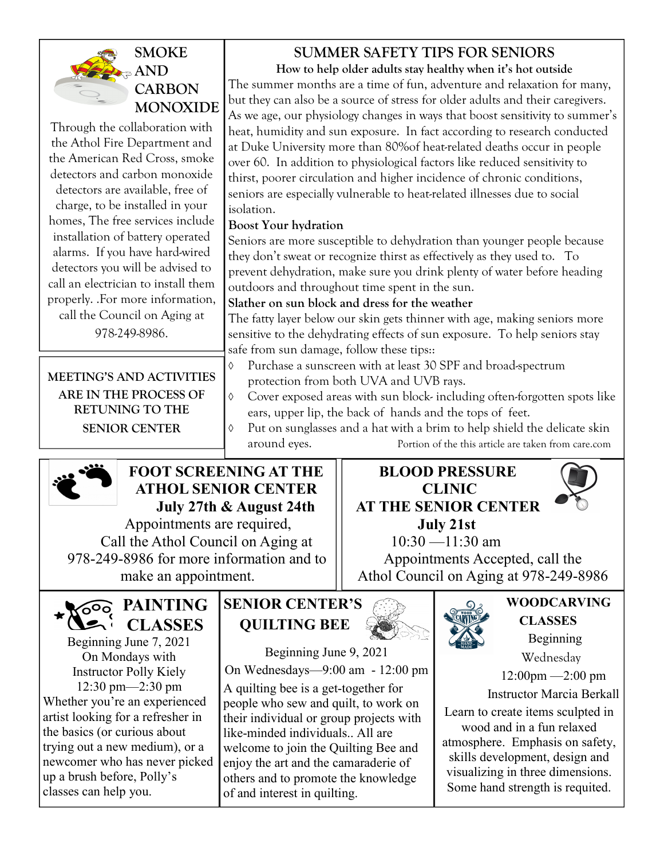### SMOKE  $\epsilon \approx$  AND **CARBON** SUMMER SAFETY TIPS FOR SENIORS How to help older adults stay healthy when it's hot outside

MONOXIDE Through the collaboration with the Athol Fire Department and the American Red Cross, smoke detectors and carbon monoxide detectors are available, free of charge, to be installed in your homes, The free services include installation of battery operated alarms. If you have hard-wired detectors you will be advised to call an electrician to install them properly. .For more information, call the Council on Aging at 978-249-8986.

MEETING'S AND ACTIVITIES ARE IN THE PROCESS OF RETUNING TO THE SENIOR CENTER

The summer months are a time of fun, adventure and relaxation for many, but they can also be a source of stress for older adults and their caregivers. As we age, our physiology changes in ways that boost sensitivity to summer's heat, humidity and sun exposure. In fact according to research conducted at Duke University more than 80%of heat-related deaths occur in people over 60. In addition to physiological factors like reduced sensitivity to thirst, poorer circulation and higher incidence of chronic conditions, seniors are especially vulnerable to heat-related illnesses due to social isolation.

### Boost Your hydration

Seniors are more susceptible to dehydration than younger people because they don't sweat or recognize thirst as effectively as they used to. To prevent dehydration, make sure you drink plenty of water before heading outdoors and throughout time spent in the sun.

### Slather on sun block and dress for the weather

The fatty layer below our skin gets thinner with age, making seniors more sensitive to the dehydrating effects of sun exposure. To help seniors stay safe from sun damage, follow these tips::

- Purchase a sunscreen with at least 30 SPF and broad-spectrum protection from both UVA and UVB rays.
- Cover exposed areas with sun block- including often-forgotten spots like ears, upper lip, the back of hands and the tops of feet.
- Put on sunglasses and a hat with a brim to help shield the delicate skin around eyes. Portion of the this article are taken from care.com



# FOOT SCREENING AT THE ATHOL SENIOR CENTER July 27th & August 24th

 Appointments are required, Call the Athol Council on Aging at 978-249-8986 for more information and to make an appointment.

**PAINTING** hi CLASSES Beginning June 7, 2021 On Mondays with Instructor Polly Kiely 12:30 pm—2:30 pm Whether you're an experienced artist looking for a refresher in the basics (or curious about trying out a new medium), or a newcomer who has never picked up a brush before, Polly's classes can help you.

# SENIOR CENTER'S QUILTING BEE

Beginning June 9, 2021 On Wednesdays—9:00 am - 12:00 pm A quilting bee is a get-together for people who sew and quilt, to work on their individual or group projects with like-minded individuals.. All are welcome to join the Quilting Bee and enjoy the art and the camaraderie of others and to promote the knowledge of and interest in quilting.

### BLOOD PRESSURE CLINIC AT THE SENIOR CENTER July 21st



 10:30 —11:30 am Appointments Accepted, call the Athol Council on Aging at 978-249-8986



### WOODCARVING **CLASSES**  Beginning Wednesday

12:00pm —2:00 pm

Instructor Marcia Berkall

Learn to create items sculpted in wood and in a fun relaxed atmosphere. Emphasis on safety, skills development, design and visualizing in three dimensions. Some hand strength is requited.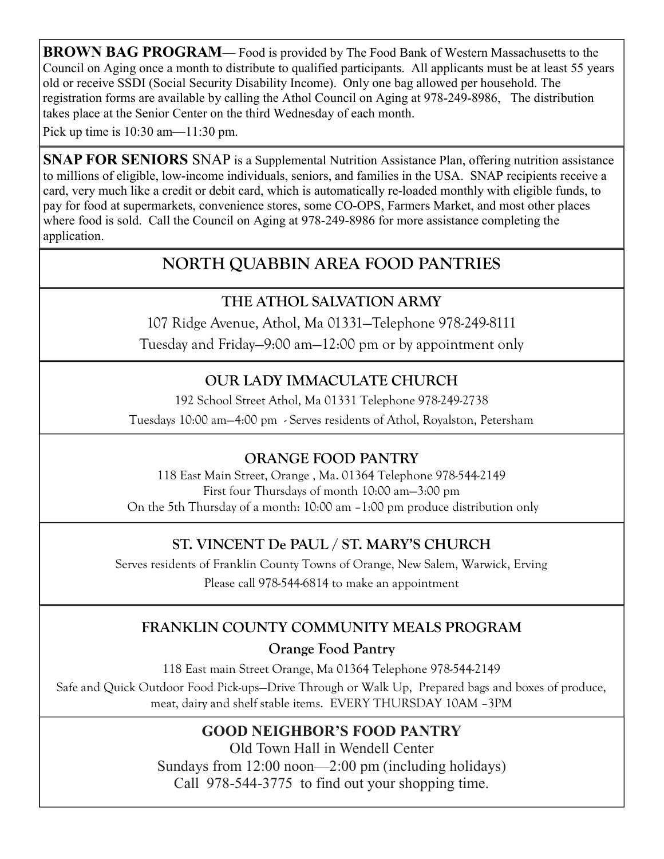**BROWN BAG PROGRAM**— Food is provided by The Food Bank of Western Massachusetts to the Council on Aging once a month to distribute to qualified participants. All applicants must be at least 55 years old or receive SSDI (Social Security Disability Income). Only one bag allowed per household. The registration forms are available by calling the Athol Council on Aging at 978-249-8986, The distribution takes place at the Senior Center on the third Wednesday of each month.

Pick up time is 10:30 am—11:30 pm.

SNAP FOR SENIORS SNAP is a Supplemental Nutrition Assistance Plan, offering nutrition assistance to millions of eligible, low-income individuals, seniors, and families in the USA. SNAP recipients receive a card, very much like a credit or debit card, which is automatically re-loaded monthly with eligible funds, to pay for food at supermarkets, convenience stores, some CO-OPS, Farmers Market, and most other places where food is sold. Call the Council on Aging at 978-249-8986 for more assistance completing the application.

# NORTH QUABBIN AREA FOOD PANTRIES

# THE ATHOL SALVATION ARMY

107 Ridge Avenue, Athol, Ma 01331—Telephone 978-249-8111 Tuesday and Friday—9:00 am—12:00 pm or by appointment only

# OUR LADY IMMACULATE CHURCH

192 School Street Athol, Ma 01331 Telephone 978-249-2738 Tuesdays 10:00 am—4:00 pm - Serves residents of Athol, Royalston, Petersham

# ORANGE FOOD PANTRY

118 East Main Street, Orange , Ma. 01364 Telephone 978-544-2149 First four Thursdays of month 10:00 am—3:00 pm On the 5th Thursday of a month: 10:00 am –1:00 pm produce distribution only

# ST. VINCENT De PAUL / ST. MARY'S CHURCH

Serves residents of Franklin County Towns of Orange, New Salem, Warwick, Erving Please call 978-544-6814 to make an appointment

# FRANKLIN COUNTY COMMUNITY MEALS PROGRAM

Orange Food Pantry

118 East main Street Orange, Ma 01364 Telephone 978-544-2149 Safe and Quick Outdoor Food Pick-ups—Drive Through or Walk Up, Prepared bags and boxes of produce, meat, dairy and shelf stable items. EVERY THURSDAY 10AM –3PM

# GOOD NEIGHBOR'S FOOD PANTRY

Old Town Hall in Wendell Center Sundays from 12:00 noon—2:00 pm (including holidays) Call 978-544-3775 to find out your shopping time.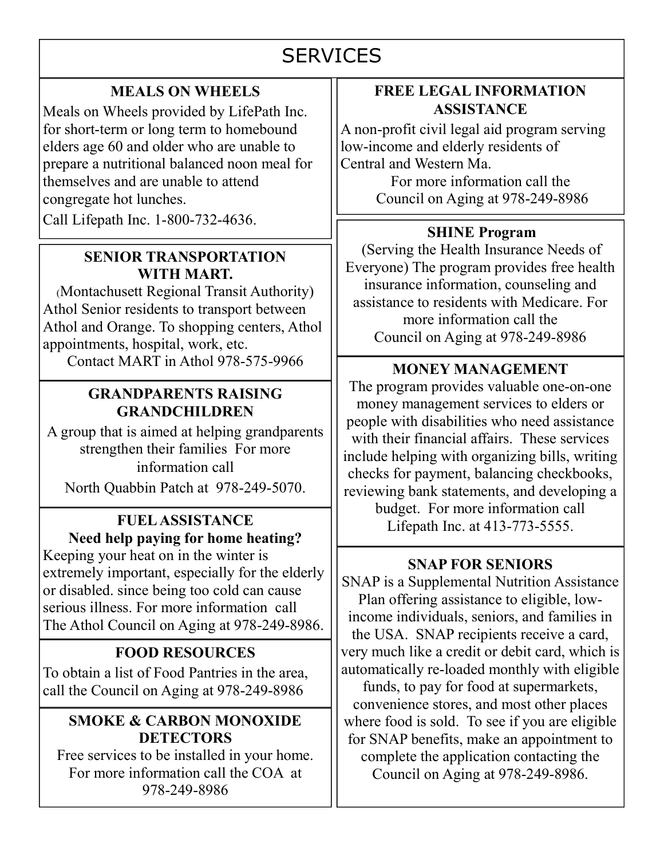# **SERVICES**

# MEALS ON WHEELS

Meals on Wheels provided by LifePath Inc. for short-term or long term to homebound elders age 60 and older who are unable to prepare a nutritional balanced noon meal for themselves and are unable to attend congregate hot lunches. Call Lifepath Inc. 1-800-732-4636.

# SENIOR TRANSPORTATION WITH MART.

(Montachusett Regional Transit Authority) Athol Senior residents to transport between Athol and Orange. To shopping centers, Athol appointments, hospital, work, etc.

Contact MART in Athol 978-575-9966

### GRANDPARENTS RAISING GRANDCHILDREN

A group that is aimed at helping grandparents strengthen their families For more information call

North Quabbin Patch at 978-249-5070.

# Need help paying for home heating?

Keeping your heat on in the winter is extremely important, especially for the elderly or disabled. since being too cold can cause serious illness. For more information call The Athol Council on Aging at 978-249-8986.

# FOOD RESOURCES

To obtain a list of Food Pantries in the area, call the Council on Aging at 978-249-8986

### SMOKE & CARBON MONOXIDE **DETECTORS**

Free services to be installed in your home. For more information call the COA at 978-249-8986

### FREE LEGAL INFORMATION **ASSISTANCE**

A non-profit civil legal aid program serving low-income and elderly residents of Central and Western Ma.

> For more information call the Council on Aging at 978-249-8986

### SHINE Program

(Serving the Health Insurance Needs of Everyone) The program provides free health insurance information, counseling and assistance to residents with Medicare. For more information call the Council on Aging at 978-249-8986

# MONEY MANAGEMENT

The program provides valuable one-on-one money management services to elders or people with disabilities who need assistance with their financial affairs. These services include helping with organizing bills, writing checks for payment, balancing checkbooks, reviewing bank statements, and developing a budget. For more information call FUEL ASSISTANCE Lifepath Inc. at 413-773-5555.

### SNAP FOR SENIORS

SNAP is a Supplemental Nutrition Assistance Plan offering assistance to eligible, lowincome individuals, seniors, and families in the USA. SNAP recipients receive a card, very much like a credit or debit card, which is automatically re-loaded monthly with eligible funds, to pay for food at supermarkets, convenience stores, and most other places where food is sold. To see if you are eligible for SNAP benefits, make an appointment to complete the application contacting the Council on Aging at 978-249-8986.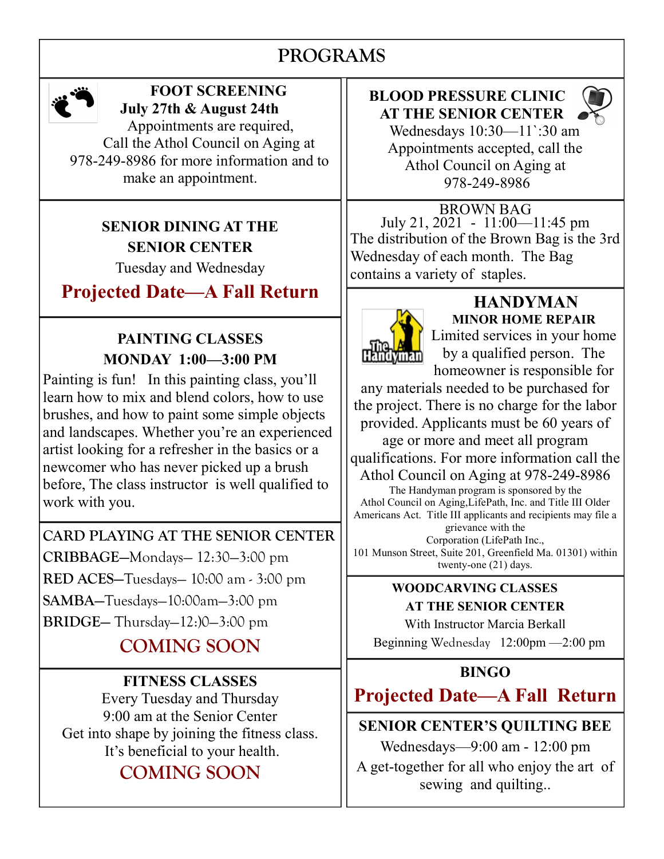# PROGRAMS

I



# FOOT SCREENING July 27th & August 24th

 Appointments are required, Call the Athol Council on Aging at 978-249-8986 for more information and to make an appointment.

# SENIOR DINING AT THE SENIOR CENTER

Tuesday and Wednesday

# Projected Date—A Fall Return

# PAINTING CLASSES MONDAY 1:00—3:00 PM

Painting is fun! In this painting class, you'll learn how to mix and blend colors, how to use brushes, and how to paint some simple objects and landscapes. Whether you're an experienced artist looking for a refresher in the basics or a newcomer who has never picked up a brush before, The class instructor is well qualified to work with you.

CARD PLAYING AT THE SENIOR CENTER CRIBBAGE—Mondays— 12:30—3:00 pm RED ACES—Tuesdays— 10:00 am - 3:00 pm SAMBA—Tuesdays—10:00am—3:00 pm BRIDGE— Thursday—12:)0—3:00 pm

# COMING SOON

# FITNESS CLASSES

Every Tuesday and Thursday 9:00 am at the Senior Center Get into shape by joining the fitness class. It's beneficial to your health.

# COMING SOON

# BLOOD PRESSURE CLINIC AT THE SENIOR CENTER



 Wednesdays 10:30—11`:30 am Appointments accepted, call the Athol Council on Aging at 978-249-8986

BROWN BAG July 21, 2021 - 11:00—11:45 pm The distribution of the Brown Bag is the 3rd Wednesday of each month. The Bag contains a variety of staples.



# **HANDYMAN** MINOR HOME REPAIR

Limited services in your home by a qualified person. The homeowner is responsible for

any materials needed to be purchased for the project. There is no charge for the labor provided. Applicants must be 60 years of

age or more and meet all program qualifications. For more information call the Athol Council on Aging at 978-249-8986

The Handyman program is sponsored by the Athol Council on Aging,LifePath, Inc. and Title III Older Americans Act. Title III applicants and recipients may file a grievance with the

Corporation (LifePath Inc., 101 Munson Street, Suite 201, Greenfield Ma. 01301) within twenty-one (21) days.

### WOODCARVING CLASSES AT THE SENIOR CENTER

With Instructor Marcia Berkall

Beginning Wednesday 12:00pm —2:00 pm

# BINGO

# Projected Date—A Fall Return

# SENIOR CENTER'S QUILTING BEE

Wednesdays—9:00 am - 12:00 pm

A get-together for all who enjoy the art of sewing and quilting..